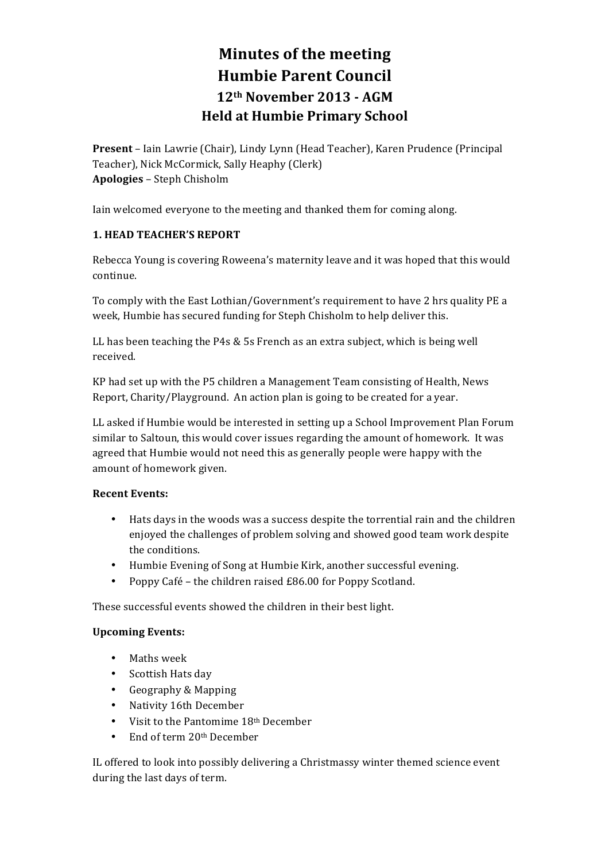# **Minutes of the meeting Humbie Parent Council 12th November 2013 - AGM Held at Humbie Primary School**

**Present** – Iain Lawrie (Chair), Lindy Lynn (Head Teacher), Karen Prudence (Principal Teacher), Nick McCormick, Sally Heaphy (Clerk) **Apologies** – Steph Chisholm

Iain welcomed everyone to the meeting and thanked them for coming along.

## **1. HEAD TEACHER'S REPORT**

Rebecca Young is covering Roweena's maternity leave and it was hoped that this would continue.

To comply with the East Lothian/Government's requirement to have 2 hrs quality PE a week, Humbie has secured funding for Steph Chisholm to help deliver this.

LL has been teaching the P4s & 5s French as an extra subject, which is being well received.

KP had set up with the P5 children a Management Team consisting of Health, News Report, Charity/Playground. An action plan is going to be created for a year.

LL asked if Humbie would be interested in setting up a School Improvement Plan Forum similar to Saltoun, this would cover issues regarding the amount of homework. It was agreed that Humbie would not need this as generally people were happy with the amount of homework given.

## **Recent Events:**

- Hats days in the woods was a success despite the torrential rain and the children enjoyed the challenges of problem solving and showed good team work despite the conditions.
- Humbie Evening of Song at Humbie Kirk, another successful evening.
- Poppy Café the children raised  $£86.00$  for Poppy Scotland.

These successful events showed the children in their best light.

## **Upcoming Events:**

- Maths week
- Scottish Hats day
- Geography & Mapping
- Nativity 16th December
- Visit to the Pantomime  $18<sup>th</sup>$  December
- End of term 20<sup>th</sup> December

IL offered to look into possibly delivering a Christmassy winter themed science event during the last days of term.